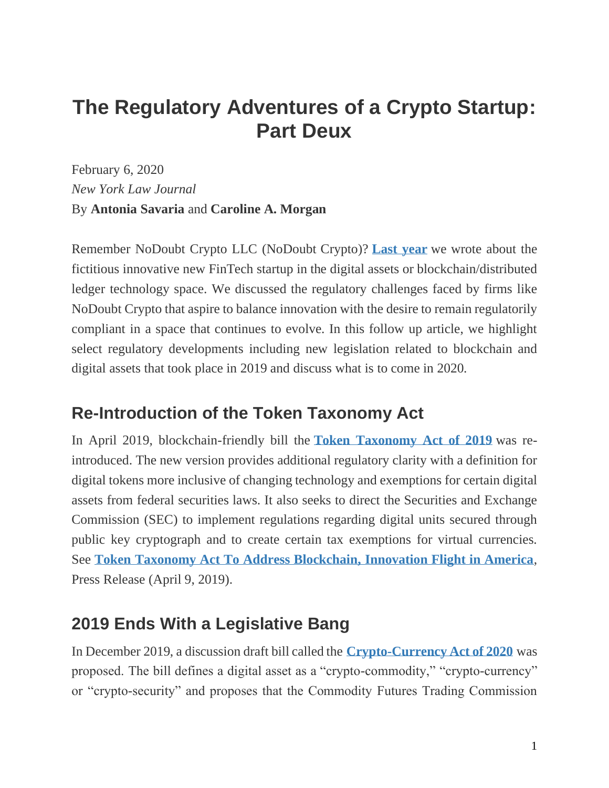# **The Regulatory Adventures of a Crypto Startup: Part Deux**

February 6, 2020 *New York Law Journal* By **Antonia Savaria** and **Caroline A. Morgan**

Remember NoDoubt Crypto LLC (NoDoubt Crypto)? **[Last year](https://www.law.com/newyorklawjournal/2018/12/04/the-regulatory-adventures-of-a-crypto-startup/)** we wrote about the fictitious innovative new FinTech startup in the digital assets or blockchain/distributed ledger technology space. We discussed the regulatory challenges faced by firms like NoDoubt Crypto that aspire to balance innovation with the desire to remain regulatorily compliant in a space that continues to evolve. In this follow up article, we highlight select regulatory developments including new legislation related to blockchain and digital assets that took place in 2019 and discuss what is to come in 2020.

# **Re-Introduction of the Token Taxonomy Act**

In April 2019, blockchain-friendly bill the **[Token Taxonomy Act of 2019](https://www.congress.gov/116/bills/hr2144/BILLS-116hr2144ih.pdf)** was reintroduced. The new version provides additional regulatory clarity with a definition for digital tokens more inclusive of changing technology and exemptions for certain digital assets from federal securities laws. It also seeks to direct the Securities and Exchange Commission (SEC) to implement regulations regarding digital units secured through public key cryptograph and to create certain tax exemptions for virtual currencies. See **[Token Taxonomy Act To Address Blockchain, Innovation Flight in America](https://davidson.house.gov/media-center/press-releases/token-taxonomy-act-address-blockchain-innovation-flight-america)**, Press Release (April 9, 2019).

# **2019 Ends With a Legislative Bang**

In December 2019, a discussion draft bill called the **[Crypto-Currency](https://drive.google.com/viewerng/viewer?url=https://2d234e5a-16a9-46ce-94e3-029a82f36bf9.filesusr.com/ugd/be4f79_b7c2ff84879140f98023ed89a166bc41.pdf) Act of 2020** was proposed. The bill defines a digital asset as a "crypto-commodity," "crypto-currency" or "crypto-security" and proposes that the Commodity Futures Trading Commission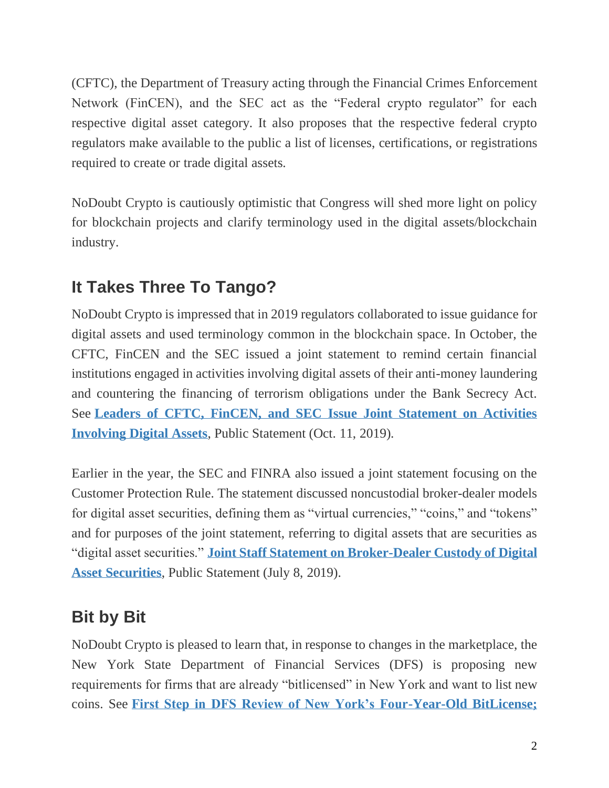(CFTC), the Department of Treasury acting through the Financial Crimes Enforcement Network (FinCEN), and the SEC act as the "Federal crypto regulator" for each respective digital asset category. It also proposes that the respective federal crypto regulators make available to the public a list of licenses, certifications, or registrations required to create or trade digital assets.

NoDoubt Crypto is cautiously optimistic that Congress will shed more light on policy for blockchain projects and clarify terminology used in the digital assets/blockchain industry.

# **It Takes Three To Tango?**

NoDoubt Crypto is impressed that in 2019 regulators collaborated to issue guidance for digital assets and used terminology common in the blockchain space. In October, the CFTC, FinCEN and the SEC issued a joint statement to remind certain financial institutions engaged in activities involving digital assets of their anti-money laundering and countering the financing of terrorism obligations under the Bank Secrecy Act. See **[Leaders of CFTC, FinCEN, and SEC Issue Joint Statement on Activities](https://www.sec.gov/news/public-statement/cftc-fincen-secjointstatementdigitalassets)  [Involving Digital Assets](https://www.sec.gov/news/public-statement/cftc-fincen-secjointstatementdigitalassets)**, Public Statement (Oct. 11, 2019).

Earlier in the year, the SEC and FINRA also issued a joint statement focusing on the Customer Protection Rule. The statement discussed noncustodial broker-dealer models for digital asset securities, defining them as "virtual currencies," "coins," and "tokens" and for purposes of the joint statement, referring to digital assets that are securities as "digital asset securities." **[Joint Staff Statement on Broker-Dealer Custody of Digital](https://www.sec.gov/news/public-statement/joint-staff-statement-broker-dealer-custody-digital-asset-securities)  [Asset Securities](https://www.sec.gov/news/public-statement/joint-staff-statement-broker-dealer-custody-digital-asset-securities)**, Public Statement (July 8, 2019).

# **Bit by Bit**

NoDoubt Crypto is pleased to learn that, in response to changes in the marketplace, the New York State Department of Financial Services (DFS) is proposing new requirements for firms that are already "bitlicensed" in New York and want to list new coins. See **[First Step in DFS Review of New York's Four-Year-Old BitLicense;](https://www.dfs.ny.gov/reports_and_publications/press_releases/pr1912101)**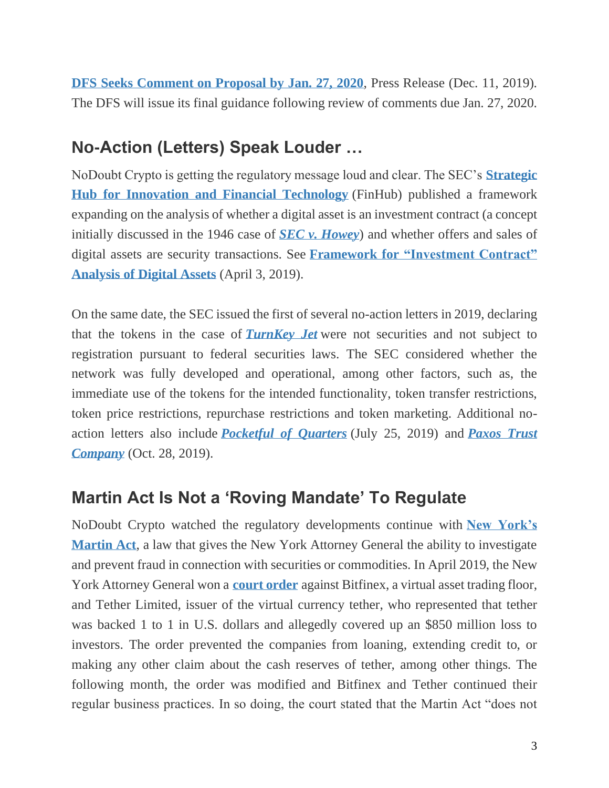**[DFS Seeks Comment on Proposal by Jan. 27, 2020](https://www.dfs.ny.gov/reports_and_publications/press_releases/pr1912101)**, Press Release (Dec. 11, 2019). The DFS will issue its final guidance following review of comments due Jan. 27, 2020.

#### **No-Action (Letters) Speak Louder …**

NoDoubt Crypto is getting the regulatory message loud and clear. The SEC's **[Strategic](https://www.sec.gov/news/press-release/2018-240)  [Hub for Innovation and Financial Technology](https://www.sec.gov/news/press-release/2018-240)** (FinHub) published a framework expanding on the analysis of whether a digital asset is an investment contract (a concept initially discussed in the 1946 case of *[SEC v. Howey](http://cdn.loc.gov/service/ll/usrep/usrep328/usrep328293/usrep328293.pdf)*) and whether offers and sales of digital assets are security transactions. See **Framework for ["Investment Contract"](https://www.sec.gov/corpfin/framework-investment-contract-analysis-digital-assets)  [Analysis of Digital Assets](https://www.sec.gov/corpfin/framework-investment-contract-analysis-digital-assets)** (April 3, 2019).

On the same date, the SEC issued the first of several no-action letters in 2019, declaring that the tokens in the case of *[TurnKey Jet](https://www.sec.gov/divisions/corpfin/cf-noaction/2019/turnkey-jet-040219-2a1.htm)* were not securities and not subject to registration pursuant to federal securities laws. The SEC considered whether the network was fully developed and operational, among other factors, such as, the immediate use of the tokens for the intended functionality, token transfer restrictions, token price restrictions, repurchase restrictions and token marketing. Additional noaction letters also include *[Pocketful of Quarters](https://www.sec.gov/corpfin/pocketful-quarters-inc-072519-2a1)* (July 25, 2019) and *[Paxos Trust](https://www.sec.gov/divisions/marketreg/mr-noaction/2019/paxos-trust-company-102819-17a.pdf)  [Company](https://www.sec.gov/divisions/marketreg/mr-noaction/2019/paxos-trust-company-102819-17a.pdf)* (Oct. 28, 2019).

#### **Martin Act Is Not a 'Roving Mandate' To Regulate**

NoDoubt Crypto watched the regulatory developments continue with **[New York's](https://www.nysenate.gov/legislation/laws/GBS/A23-A)  [Martin Act](https://www.nysenate.gov/legislation/laws/GBS/A23-A)**, a law that gives the New York Attorney General the ability to investigate and prevent fraud in connection with securities or commodities. In April 2019, the New York Attorney General won a **[court order](https://ag.ny.gov/sites/default/files/2019.04.24_signed_order.pdf)** against Bitfinex, a virtual asset trading floor, and Tether Limited, issuer of the virtual currency tether, who represented that tether was backed 1 to 1 in U.S. dollars and allegedly covered up an \$850 million loss to investors. The order prevented the companies from loaning, extending credit to, or making any other claim about the cash reserves of tether, among other things. The following month, the order was modified and Bitfinex and Tether continued their regular business practices. In so doing, the court stated that the Martin Act "does not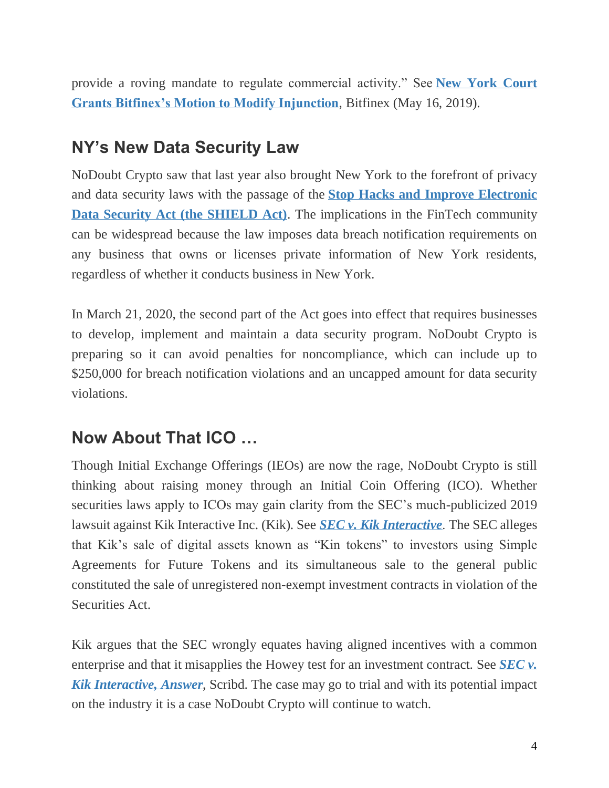provide a roving mandate to regulate commercial activity." See **[New York Court](https://www.bitfinex.com/posts/363)  [Grants Bitfinex's Motion to Modify Injunction](https://www.bitfinex.com/posts/363)**, Bitfinex (May 16, 2019).

#### **NY's New Data Security Law**

NoDoubt Crypto saw that last year also brought New York to the forefront of privacy and data security laws with the passage of the **[Stop Hacks and Improve Electronic](https://legislation.nysenate.gov/pdf/bills/2019/S5575B)  [Data Security Act \(the SHIELD Act\)](https://legislation.nysenate.gov/pdf/bills/2019/S5575B)**. The implications in the FinTech community can be widespread because the law imposes data breach notification requirements on any business that owns or licenses private information of New York residents, regardless of whether it conducts business in New York.

In March 21, 2020, the second part of the Act goes into effect that requires businesses to develop, implement and maintain a data security program. NoDoubt Crypto is preparing so it can avoid penalties for noncompliance, which can include up to \$250,000 for breach notification violations and an uncapped amount for data security violations.

# **Now About That ICO …**

Though Initial Exchange Offerings (IEOs) are now the rage, NoDoubt Crypto is still thinking about raising money through an Initial Coin Offering (ICO). Whether securities laws apply to ICOs may gain clarity from the SEC's much-publicized 2019 lawsuit against Kik Interactive Inc. (Kik). See *[SEC v. Kik Interactive](https://www.sec.gov/litigation/complaints/2019/comp-pr2019-87.pdf)*. The SEC alleges that Kik's sale of digital assets known as "Kin tokens" to investors using Simple Agreements for Future Tokens and its simultaneous sale to the general public constituted the sale of unregistered non-exempt investment contracts in violation of the Securities Act.

Kik argues that the SEC wrongly equates having aligned incentives with a common enterprise and that it misapplies the Howey test for an investment contract. See *[SEC v.](https://www.scribd.com/document/420998937/Kik-Response-to-SEC)  [Kik Interactive, Answer](https://www.scribd.com/document/420998937/Kik-Response-to-SEC)*, Scribd. The case may go to trial and with its potential impact on the industry it is a case NoDoubt Crypto will continue to watch.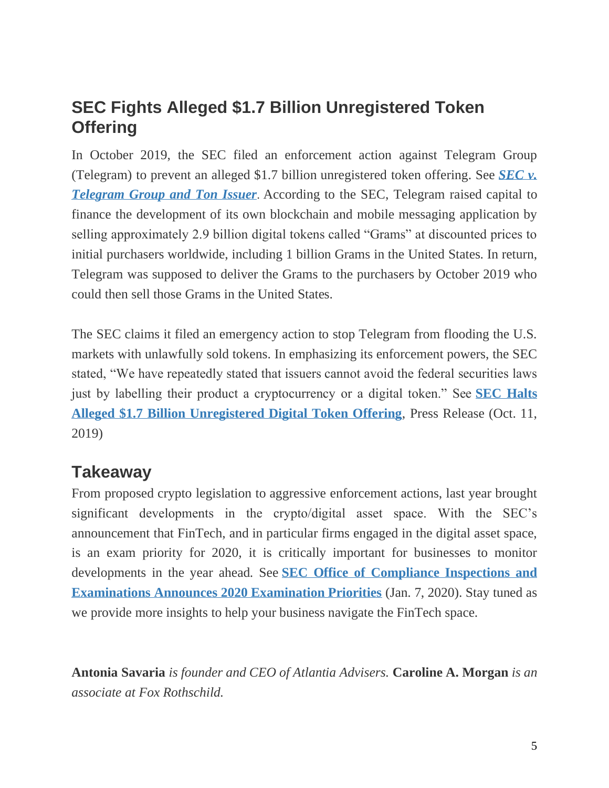# **SEC Fights Alleged \$1.7 Billion Unregistered Token Offering**

In October 2019, the SEC filed an enforcement action against Telegram Group (Telegram) to prevent an alleged \$1.7 billion unregistered token offering. See *[SEC v.](https://www.sec.gov/litigation/complaints/2019/comp-pr2019-212.pdf)  [Telegram Group and Ton Issuer](https://www.sec.gov/litigation/complaints/2019/comp-pr2019-212.pdf)*. According to the SEC, Telegram raised capital to finance the development of its own blockchain and mobile messaging application by selling approximately 2.9 billion digital tokens called "Grams" at discounted prices to initial purchasers worldwide, including 1 billion Grams in the United States. In return, Telegram was supposed to deliver the Grams to the purchasers by October 2019 who could then sell those Grams in the United States.

The SEC claims it filed an emergency action to stop Telegram from flooding the U.S. markets with unlawfully sold tokens. In emphasizing its enforcement powers, the SEC stated, "We have repeatedly stated that issuers cannot avoid the federal securities laws just by labelling their product a cryptocurrency or a digital token." See **[SEC Halts](https://www.sec.gov/news/press-release/2019-212)  [Alleged \\$1.7 Billion Unregistered Digital Token Offering](https://www.sec.gov/news/press-release/2019-212)**, Press Release (Oct. 11, 2019)

#### **Takeaway**

From proposed crypto legislation to aggressive enforcement actions, last year brought significant developments in the crypto/digital asset space. With the SEC's announcement that FinTech, and in particular firms engaged in the digital asset space, is an exam priority for 2020, it is critically important for businesses to monitor developments in the year ahead. See **[SEC Office of Compliance Inspections and](https://www.sec.gov/about/offices/ocie/national-examination-program-priorities-2020.pdf)  [Examinations Announces 2020 Examination Priorities](https://www.sec.gov/about/offices/ocie/national-examination-program-priorities-2020.pdf)** (Jan. 7, 2020). Stay tuned as we provide more insights to help your business navigate the FinTech space.

**Antonia Savaria** *is founder and CEO of Atlantia Advisers.* **Caroline A. Morgan** *is an associate at Fox Rothschild.*